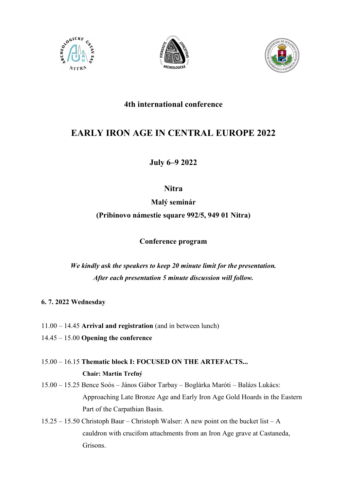





# 4th international conference

# EARLY IRON AGE IN CENTRAL EUROPE 2022

July 6–9 2022

**Nitra** 

Malý seminár

(Pribinovo námestie square 992/5, 949 01 Nitra)

Conference program

We kindly ask the speakers to keep 20 minute limit for the presentation. After each presentation 5 minute discussion will follow.

6. 7. 2022 Wednesday

- 11.00 14.45 Arrival and registration (and in between lunch)
- 14.45 15.00 Opening the conference
- 15.00 16.15 Thematic block I: FOCUSED ON THE ARTEFACTS... Chair: Martin Trefný
- 15.00 15.25 Bence Soós János Gábor Tarbay Boglárka Maróti Balázs Lukács: Approaching Late Bronze Age and Early Iron Age Gold Hoards in the Eastern Part of the Carpathian Basin.
- 15.25 15.50 Christoph Baur Christoph Walser: A new point on the bucket list A cauldron with crucifom attachments from an Iron Age grave at Castaneda, Grisons.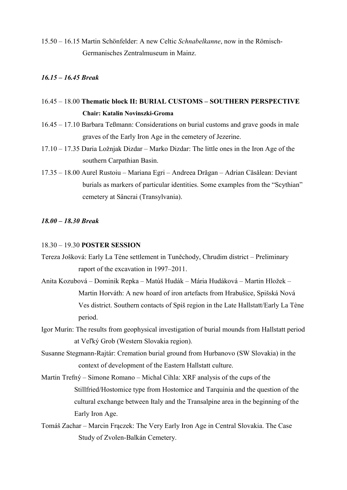15.50 – 16.15 Martin Schönfelder: A new Celtic Schnabelkanne, now in the Römisch-Germanisches Zentralmuseum in Mainz.

#### 16.15 – 16.45 Break

- 16.45 18.00 Thematic block II: BURIAL CUSTOMS SOUTHERN PERSPECTIVE Chair: Katalin Novinszki-Groma
- 16.45 17.10 Barbara Teßmann: Considerations on burial customs and grave goods in male graves of the Early Iron Age in the cemetery of Jezerine.
- 17.10 17.35 Daria Ložnjak Dizdar Marko Dizdar: The little ones in the Iron Age of the southern Carpathian Basin.
- 17.35 18.00 Aurel Rustoiu Mariana Egri Andreea Drăgan Adrian Căsălean: Deviant burials as markers of particular identities. Some examples from the "Scythian" cemetery at Sâncrai (Transylvania).

### 18.00 – 18.30 Break

#### 18.30 – 19.30 POSTER SESSION

Tereza Jošková: Early La Tène settlement in Tuněchody, Chrudim district – Preliminary raport of the excavation in 1997–2011.

- Anita Kozubová Dominik Repka Matúš Hudák Mária Hudáková Martin Hložek Martin Horváth: A new hoard of iron artefacts from Hrabušice, Spišská Nová Ves district. Southern contacts of Spiš region in the Late Hallstatt/Early La Tène period.
- Igor Murín: The results from geophysical investigation of burial mounds from Hallstatt period at Veľký Grob (Western Slovakia region).
- Susanne Stegmann-Rajtár: Cremation burial ground from Hurbanovo (SW Slovakia) in the context of development of the Eastern Hallstatt culture.
- Martin Trefný Simone Romano Michal Cihla: XRF analysis of the cups of the Stillfried/Hostomice type from Hostomice and Tarquinia and the question of the cultural exchange between Italy and the Transalpine area in the beginning of the Early Iron Age.
- Tomáš Zachar Marcin Frączek: The Very Early Iron Age in Central Slovakia. The Case Study of Zvolen-Balkán Cemetery.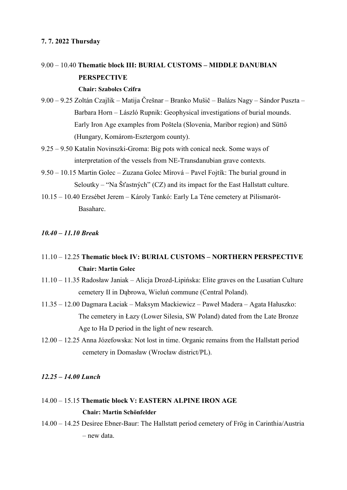### 7. 7. 2022 Thursday

# 9.00 – 10.40 Thematic block III: BURIAL CUSTOMS – MIDDLE DANUBIAN **PERSPECTIVE**

#### Chair: Szabolcs Czifra

- 9.00 9.25 Zoltán Czajlik Matija Črešnar Branko Mušič Balázs Nagy Sándor Puszta Barbara Horn – László Rupnik: Geophysical investigations of burial mounds. Early Iron Age examples from Poštela (Slovenia, Maribor region) and Süttő (Hungary, Komárom-Esztergom county).
- 9.25 9.50 Katalin Novinszki-Groma: Big pots with conical neck. Some ways of interpretation of the vessels from NE-Transdanubian grave contexts.
- 9.50 10.15 Martin Golec Zuzana Golec Mírová Pavel Fojtík: The burial ground in Seloutky – "Na Šťastných"  $(CZ)$  and its impact for the East Hallstatt culture.
- 10.15 10.40 Erzsébet Jerem Károly Tankó: Early La Tène cemetery at Pilismarót-Basaharc.

### 10.40 – 11.10 Break

## 11.10 – 12.25 Thematic block IV: BURIAL CUSTOMS – NORTHERN PERSPECTIVE Chair: Martin Golec

- 11.10 11.35 Radosław Janiak Alicja Drozd-Lipińska: Elite graves on the Lusatian Culture cemetery II in Dąbrowa, Wieluń commune (Central Poland).
- 11.35 12.00 Dagmara Łaciak Maksym Mackiewicz Paweł Madera Agata Hałuszko: The cemetery in Łazy (Lower Silesia, SW Poland) dated from the Late Bronze Age to Ha D period in the light of new research.
- 12.00 12.25 Anna Józefowska: Not lost in time. Organic remains from the Hallstatt period cemetery in Domasław (Wrocław district/PL).

#### 12.25 – 14.00 Lunch

# 14.00 – 15.15 Thematic block V: EASTERN ALPINE IRON AGE Chair: Martin Schönfelder

14.00 – 14.25 Desiree Ebner-Baur: The Hallstatt period cemetery of Frög in Carinthia/Austria – new data.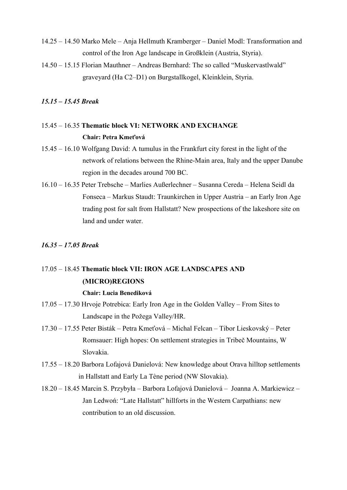- 14.25 14.50 Marko Mele Anja Hellmuth Kramberger Daniel Modl: Transformation and control of the Iron Age landscape in Großklein (Austria, Styria).
- 14.50 15.15 Florian Mauthner Andreas Bernhard: The so called "Muskervastlwald" graveyard (Ha C2–D1) on Burgstallkogel, Kleinklein, Styria.

#### 15.15 – 15.45 Break

# 15.45 – 16.35 Thematic block VI: NETWORK AND EXCHANGE Chair: Petra Kmeťová

- 15.45 16.10 Wolfgang David: A tumulus in the Frankfurt city forest in the light of the network of relations between the Rhine-Main area, Italy and the upper Danube region in the decades around 700 BC.
- 16.10 16.35 Peter Trebsche Marlies Außerlechner Susanna Cereda Helena Seidl da Fonseca – Markus Staudt: Traunkirchen in Upper Austria – an Early Iron Age trading post for salt from Hallstatt? New prospections of the lakeshore site on land and under water

#### 16.35 – 17.05 Break

# 17.05 – 18.45 Thematic block VII: IRON AGE LANDSCAPES AND (MICRO)REGIONS

### Chair: Lucia Benediková

- 17.05 17.30 Hrvoje Potrebica: Early Iron Age in the Golden Valley From Sites to Landscape in the Požega Valley/HR.
- 17.30 17.55 Peter Bisták Petra Kmeťová Michal Felcan Tibor Lieskovský Peter Romsauer: High hopes: On settlement strategies in Tribeč Mountains, W Slovakia.
- 17.55 18.20 Barbora Lofajová Danielová: New knowledge about Orava hilltop settlements in Hallstatt and Early La Tène period (NW Slovakia).
- 18.20 18.45 Marcin S. Przybyła Barbora Lofajová Danielová Joanna A. Markiewicz Jan Ledwoń: "Late Hallstatt" hillforts in the Western Carpathians: new contribution to an old discussion.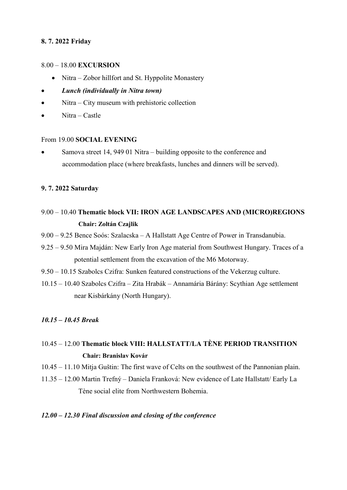### 8. 7. 2022 Friday

### 8.00 – 18.00 EXCURSION

- Nitra Zobor hillfort and St. Hyppolite Monastery
- Lunch (individually in Nitra town)
- Nitra City museum with prehistoric collection
- Nitra Castle

### From 19.00 SOCIAL EVENING

 Samova street 14, 949 01 Nitra – building opposite to the conference and accommodation place (where breakfasts, lunches and dinners will be served).

### 9. 7. 2022 Saturday

- 9.00 10.40 Thematic block VII: IRON AGE LANDSCAPES AND (MICRO)REGIONS Chair: Zoltán Czajlik
- 9.00 9.25 Bence Soós: Szalacska A Hallstatt Age Centre of Power in Transdanubia.
- 9.25 9.50 Mira Majdán: New Early Iron Age material from Southwest Hungary. Traces of a potential settlement from the excavation of the M6 Motorway.
- 9.50 10.15 Szabolcs Czifra: Sunken featured constructions of the Vekerzug culture.
- 10.15 10.40 Szabolcs Czifra Zita Hrabák Annamária Bárány: Scythian Age settlement near Kisbárkány (North Hungary).

### 10.15 – 10.45 Break

# 10.45 – 12.00 Thematic block VIII: HALLSTATT/LA TÈNE PERIOD TRANSITION Chair: Branislav Kovár

- 10.45 11.10 Mitja Guštin: The first wave of Celts on the southwest of the Pannonian plain.
- 11.35 12.00 Martin Trefný Daniela Franková: New evidence of Late Hallstatt/ Early La Tène social elite from Northwestern Bohemia.

### 12.00 – 12.30 Final discussion and closing of the conference